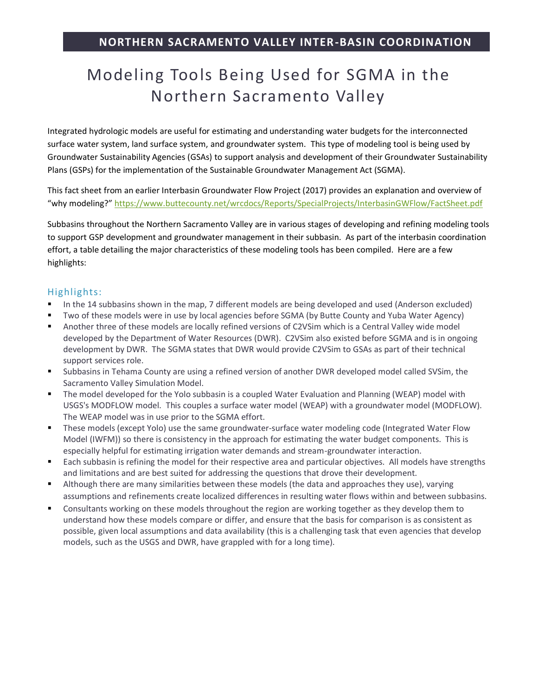## Modeling Tools Being Used for SGMA in the Northern Sacramento Valley

Integrated hydrologic models are useful for estimating and understanding water budgets for the interconnected surface water system, land surface system, and groundwater system. This type of modeling tool is being used by Groundwater Sustainability Agencies (GSAs) to support analysis and development of their Groundwater Sustainability Plans (GSPs) for the implementation of the Sustainable Groundwater Management Act (SGMA).

This fact sheet from an earlier Interbasin Groundwater Flow Project (2017) provides an explanation and overview of "why modeling?" <https://www.buttecounty.net/wrcdocs/Reports/SpecialProjects/InterbasinGWFlow/FactSheet.pdf>

Subbasins throughout the Northern Sacramento Valley are in various stages of developing and refining modeling tools to support GSP development and groundwater management in their subbasin. As part of the interbasin coordination effort, a table detailing the major characteristics of these modeling tools has been compiled. Here are a few highlights:

## Highlights:

- In the 14 subbasins shown in the map, 7 different models are being developed and used (Anderson excluded)
- Two of these models were in use by local agencies before SGMA (by Butte County and Yuba Water Agency)
- Another three of these models are locally refined versions of C2VSim which is a Central Valley wide model developed by the Department of Water Resources (DWR). C2VSim also existed before SGMA and is in ongoing development by DWR. The SGMA states that DWR would provide C2VSim to GSAs as part of their technical support services role.
- Subbasins in Tehama County are using a refined version of another DWR developed model called SVSim, the Sacramento Valley Simulation Model.
- The model developed for the Yolo subbasin is a coupled Water Evaluation and Planning (WEAP) model with USGS's MODFLOW model. This couples a surface water model (WEAP) with a groundwater model (MODFLOW). The WEAP model was in use prior to the SGMA effort.
- These models (except Yolo) use the same groundwater-surface water modeling code (Integrated Water Flow Model (IWFM)) so there is consistency in the approach for estimating the water budget components. This is especially helpful for estimating irrigation water demands and stream-groundwater interaction.
- Each subbasin is refining the model for their respective area and particular objectives. All models have strengths and limitations and are best suited for addressing the questions that drove their development.
- Although there are many similarities between these models (the data and approaches they use), varying assumptions and refinements create localized differences in resulting water flows within and between subbasins.
- Consultants working on these models throughout the region are working together as they develop them to understand how these models compare or differ, and ensure that the basis for comparison is as consistent as possible, given local assumptions and data availability (this is a challenging task that even agencies that develop models, such as the USGS and DWR, have grappled with for a long time).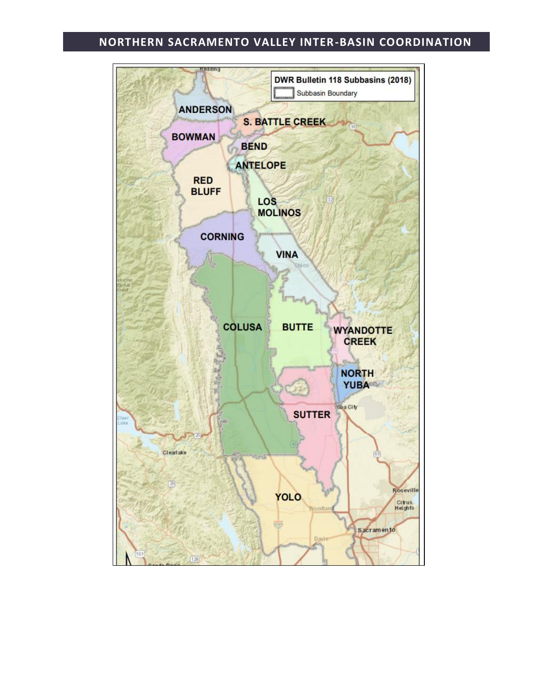## **NORTHERN SACRAMENTO VALLEY INTER-BASIN COORDINATION**